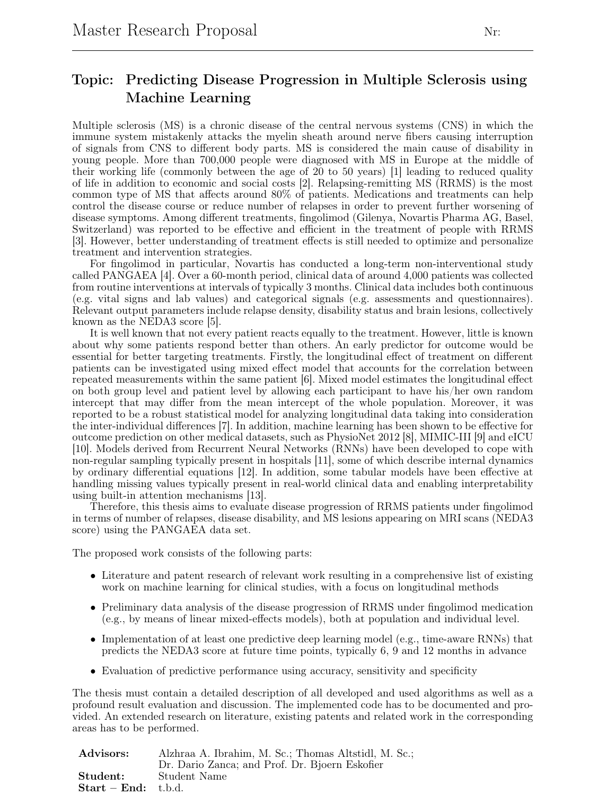## Topic: Predicting Disease Progression in Multiple Sclerosis using Machine Learning

Multiple sclerosis (MS) is a chronic disease of the central nervous systems (CNS) in which the immune system mistakenly attacks the myelin sheath around nerve fibers causing interruption of signals from CNS to different body parts. MS is considered the main cause of disability in young people. More than 700,000 people were diagnosed with MS in Europe at the middle of their working life (commonly between the age of 20 to 50 years) [1] leading to reduced quality of life in addition to economic and social costs [2]. Relapsing-remitting MS (RRMS) is the most common type of MS that affects around 80% of patients. Medications and treatments can help control the disease course or reduce number of relapses in order to prevent further worsening of disease symptoms. Among different treatments, fingolimod (Gilenya, Novartis Pharma AG, Basel, Switzerland) was reported to be effective and efficient in the treatment of people with RRMS [3]. However, better understanding of treatment effects is still needed to optimize and personalize treatment and intervention strategies.

For fingolimod in particular, Novartis has conducted a long-term non-interventional study called PANGAEA [4]. Over a 60-month period, clinical data of around 4,000 patients was collected from routine interventions at intervals of typically 3 months. Clinical data includes both continuous (e.g. vital signs and lab values) and categorical signals (e.g. assessments and questionnaires). Relevant output parameters include relapse density, disability status and brain lesions, collectively known as the NEDA3 score [5].

It is well known that not every patient reacts equally to the treatment. However, little is known about why some patients respond better than others. An early predictor for outcome would be essential for better targeting treatments. Firstly, the longitudinal effect of treatment on different patients can be investigated using mixed effect model that accounts for the correlation between repeated measurements within the same patient [6]. Mixed model estimates the longitudinal effect on both group level and patient level by allowing each participant to have his/her own random intercept that may differ from the mean intercept of the whole population. Moreover, it was reported to be a robust statistical model for analyzing longitudinal data taking into consideration the inter-individual differences [7]. In addition, machine learning has been shown to be effective for outcome prediction on other medical datasets, such as PhysioNet 2012 [8], MIMIC-III [9] and eICU [10]. Models derived from Recurrent Neural Networks (RNNs) have been developed to cope with non-regular sampling typically present in hospitals [11], some of which describe internal dynamics by ordinary differential equations [12]. In addition, some tabular models have been effective at handling missing values typically present in real-world clinical data and enabling interpretability using built-in attention mechanisms [13].

Therefore, this thesis aims to evaluate disease progression of RRMS patients under fingolimod in terms of number of relapses, disease disability, and MS lesions appearing on MRI scans (NEDA3 score) using the PANGAEA data set.

The proposed work consists of the following parts:

- Literature and patent research of relevant work resulting in a comprehensive list of existing work on machine learning for clinical studies, with a focus on longitudinal methods
- Preliminary data analysis of the disease progression of RRMS under fingolimod medication (e.g., by means of linear mixed-effects models), both at population and individual level.
- Implementation of at least one predictive deep learning model (e.g., time-aware RNNs) that predicts the NEDA3 score at future time points, typically 6, 9 and 12 months in advance
- Evaluation of predictive performance using accuracy, sensitivity and specificity

The thesis must contain a detailed description of all developed and used algorithms as well as a profound result evaluation and discussion. The implemented code has to be documented and provided. An extended research on literature, existing patents and related work in the corresponding areas has to be performed.

| Advisors:             | Alzhraa A. Ibrahim, M. Sc.; Thomas Altstidl, M. Sc.; |
|-----------------------|------------------------------------------------------|
|                       | Dr. Dario Zanca; and Prof. Dr. Bjoern Eskofier       |
| Student:              | – Student Name                                       |
| $Start - End:$ t.b.d. |                                                      |